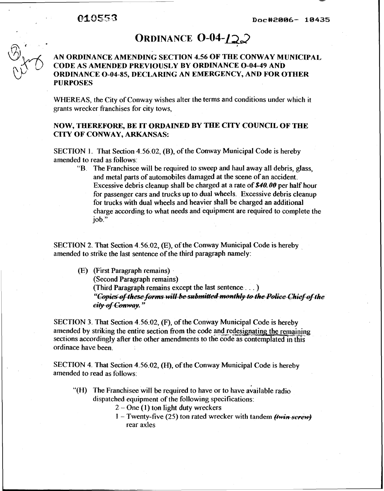# ORDINANCE  $0-04-\sqrt{2}$

## **AN ORDINANCE AMENDING SECTION 4.56 OF TEE CONWAY MUNICIPAL CODE AS AMENDED PREVIOUSLY BY ORDINANCE 0-04-49 AND ORDINANCE 0-04-85, DECLARING AN EMERGENCY, AND FOR OTHER PURPOSES**

WHEREAS, the City of Conway wishes alter the terms and conditions under which it grants wrecker franchises for city tows,

### **NOW, THEREFORE, BE IT ORDAINED BY THE CITY COUNCIL OF THE CITY OF CONWAY, ARKANSAS:**

SECTION **1.** That Section 4.56.02, (B), of the Conway Municipal Code is hereby amended to read as follows:

"B. The Franchisee will be required to sweep and haul away all debris, glass, and metal parts of automobiles damaged at the scene of an accident. Excessive debris cleanup shall be charged at a rate of **\$40.00** per half hour for passenger cars and trucks up to dual wheels. Excessive debris cleanup for trucks with dual wheels and heavier shall be charged an additional charge according to what needs and equipment are required to complete the job."

SECTION 2. That Section 4.56.02, (E), of the Conway Municipal Code is hereby amended to strike the last sentence of the third paragraph namely:

(E) (First Paragraph remains) .

(Second Paragraph remains)

(Third Paragraph remains except the last sentence ...)<br>"Copies of these forms will be submitted monthly to the Police Chief of the

eity of Conway."

SECTION 3. That Section 4.56.02, (F), of the Conway Municipal Code is hereby amended by striking the entire section from the code and redesignating the remaining sections accordingly after the other amendments to the code as contemplated in this ordinace have been.

SECTION 4. That Section 4.56.02, (H), of the Conway Municipal Code is hereby amended to read as follows:

- "(H) The Franchisee will be required to have or to have available radio dispatched equipment of the following specifications:
	- <sup>2</sup> One **(I)** ton light duty wreckers
	- I Twenty-five (25) ton rated wrecker with tandem  $(Hw\dot{H} + S\dot{H}w\dot{H})$ rear axles